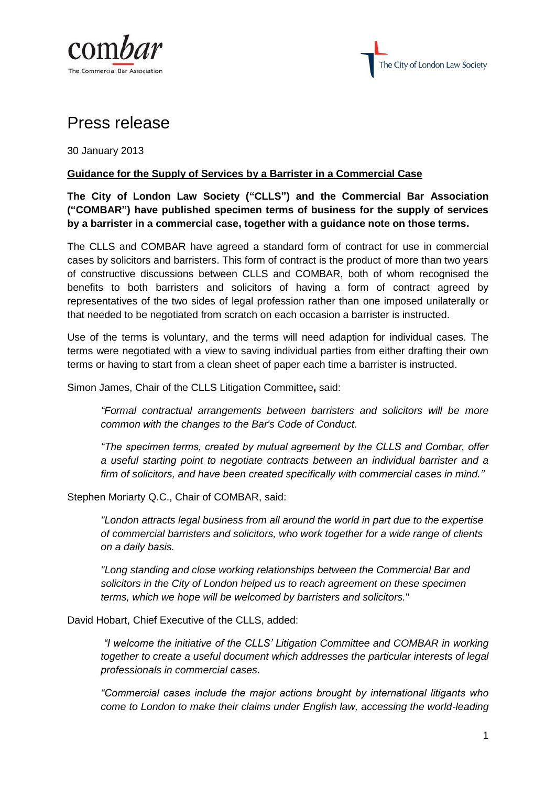



## Press release

30 January 2013

## **Guidance for the Supply of Services by a Barrister in a Commercial Case**

**The City of London Law Society ("CLLS") and the Commercial Bar Association ("COMBAR") have published specimen terms of business for the supply of services by a barrister in a commercial case, together with a guidance note on those terms.** 

The CLLS and COMBAR have agreed a standard form of contract for use in commercial cases by solicitors and barristers. This form of contract is the product of more than two years of constructive discussions between CLLS and COMBAR, both of whom recognised the benefits to both barristers and solicitors of having a form of contract agreed by representatives of the two sides of legal profession rather than one imposed unilaterally or that needed to be negotiated from scratch on each occasion a barrister is instructed.

Use of the terms is voluntary, and the terms will need adaption for individual cases. The terms were negotiated with a view to saving individual parties from either drafting their own terms or having to start from a clean sheet of paper each time a barrister is instructed.

Simon James, Chair of the CLLS Litigation Committee**,** said:

*"Formal contractual arrangements between barristers and solicitors will be more common with the changes to the Bar's Code of Conduct.*

*"The specimen terms, created by mutual agreement by the CLLS and Combar, offer a useful starting point to negotiate contracts between an individual barrister and a firm of solicitors, and have been created specifically with commercial cases in mind."* 

Stephen Moriarty Q.C., Chair of COMBAR, said:

*"London attracts legal business from all around the world in part due to the expertise of commercial barristers and solicitors, who work together for a wide range of clients on a daily basis.* 

*"Long standing and close working relationships between the Commercial Bar and solicitors in the City of London helped us to reach agreement on these specimen terms, which we hope will be welcomed by barristers and solicitors.*"

David Hobart, Chief Executive of the CLLS, added:

*"I welcome the initiative of the CLLS' Litigation Committee and COMBAR in working together to create a useful document which addresses the particular interests of legal professionals in commercial cases.*

*"Commercial cases include the major actions brought by international litigants who come to London to make their claims under English law, accessing the world-leading*